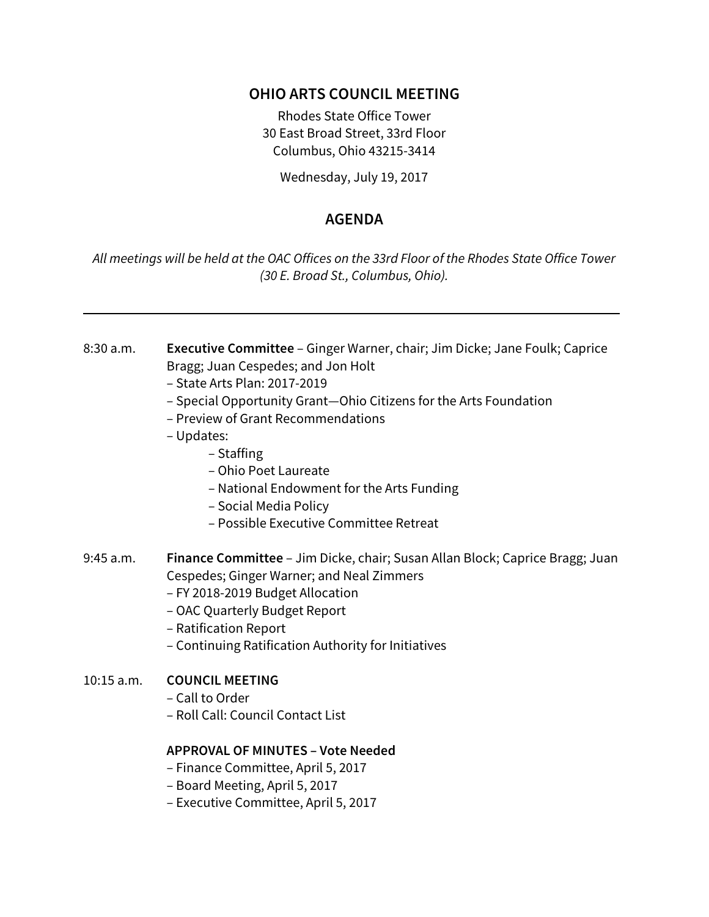# **OHIO ARTS COUNCIL MEETING**

Rhodes State Office Tower 30 East Broad Street, 33rd Floor Columbus, Ohio 43215-3414

Wednesday, July 19, 2017

# **AGENDA**

*All meetings will be held at the OAC Offices on the 33rd Floor of the Rhodes State Office Tower (30 E. Broad St., Columbus, Ohio).*

- 8:30 a.m. **Executive Committee** Ginger Warner, chair; Jim Dicke; Jane Foulk; Caprice Bragg; Juan Cespedes; and Jon Holt
	- State Arts Plan: 2017-2019
	- Special Opportunity Grant—Ohio Citizens for the Arts Foundation
	- Preview of Grant Recommendations
	- Updates:
		- Staffing
		- Ohio Poet Laureate
		- National Endowment for the Arts Funding
		- Social Media Policy
		- Possible Executive Committee Retreat
- 9:45 a.m. **Finance Committee** Jim Dicke, chair; Susan Allan Block; Caprice Bragg; Juan Cespedes; Ginger Warner; and Neal Zimmers
	- FY 2018-2019 Budget Allocation
	- OAC Quarterly Budget Report
	- Ratification Report
	- Continuing Ratification Authority for Initiatives

## 10:15 a.m. **COUNCIL MEETING**

- Call to Order
- Roll Call: Council Contact List

#### **APPROVAL OF MINUTES – Vote Needed**

- Finance Committee, April 5, 2017
- Board Meeting, April 5, 2017
- Executive Committee, April 5, 2017